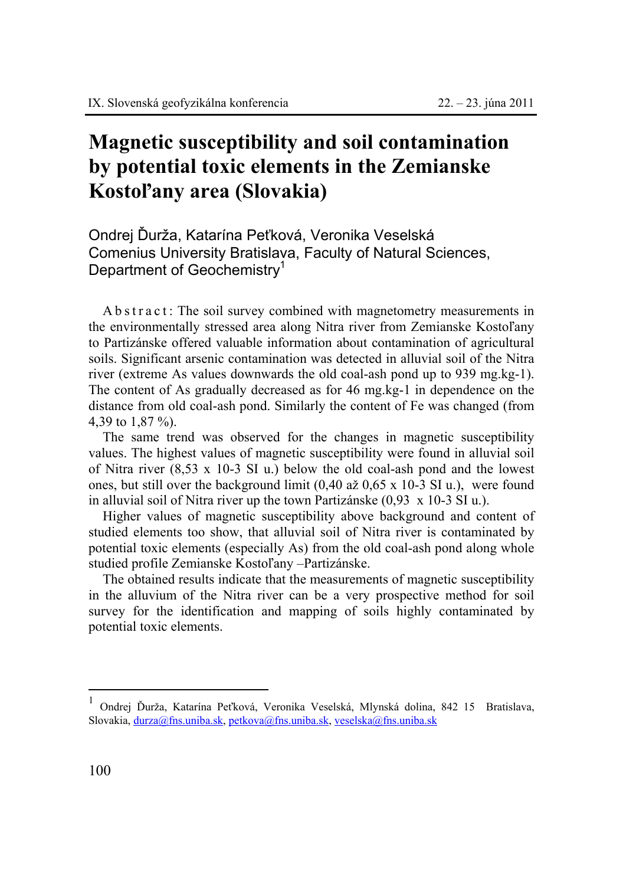## **Magnetic susceptibility and soil contamination by potential toxic elements in the Zemianske Kostoľany area (Slovakia)**

Ondrej Ďurža, Katarína Peťková, Veronika Veselská Comenius University Bratislava, Faculty of Natural Sciences, Department of Geochemistry<sup>1</sup>

A b s t r a c t : The soil survey combined with magnetometry measurements in the environmentally stressed area along Nitra river from Zemianske Kostoľany to Partizánske offered valuable information about contamination of agricultural soils. Significant arsenic contamination was detected in alluvial soil of the Nitra river (extreme As values downwards the old coal-ash pond up to 939 mg.kg-1). The content of As gradually decreased as for 46 mg.kg-1 in dependence on the distance from old coal-ash pond. Similarly the content of Fe was changed (from 4,39 to 1,87 %).

The same trend was observed for the changes in magnetic susceptibility values. The highest values of magnetic susceptibility were found in alluvial soil of Nitra river  $(8.53 \times 10.3 \text{ SI})$  u.) below the old coal-ash pond and the lowest ones, but still over the background limit (0,40 až 0,65 x 10-3 SI u.), were found in alluvial soil of Nitra river up the town Partizánske (0,93 x 10-3 SI u.).

Higher values of magnetic susceptibility above background and content of studied elements too show, that alluvial soil of Nitra river is contaminated by potential toxic elements (especially As) from the old coal-ash pond along whole studied profile Zemianske Kostoľany –Partizánske.

The obtained results indicate that the measurements of magnetic susceptibility in the alluvium of the Nitra river can be a very prospective method for soil survey for the identification and mapping of soils highly contaminated by potential toxic elements.

 $\overline{a}$ 

<sup>1</sup> Ondrej Ďurža, Katarína Peťková, Veronika Veselská, Mlynská dolina, 842 15 Bratislava, Slovakia, durza@fns.uniba.sk, petkova@fns.uniba.sk, veselska@fns.uniba.sk